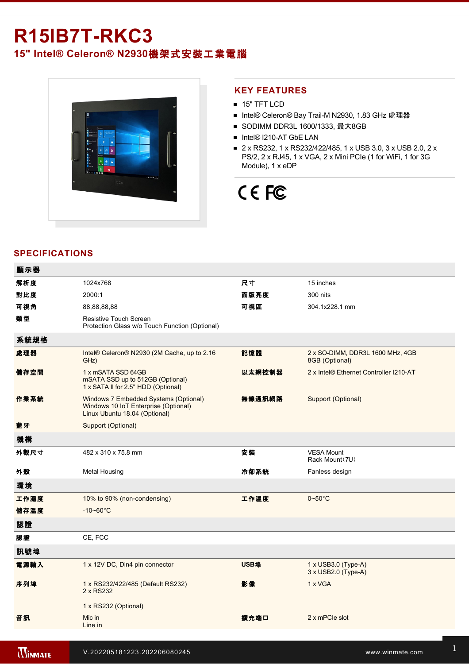## **R15IB7T-RKC3**

**15" Intel® Celeron® N2930**機架式安裝工業電腦



### **KEY FEATURES**

- **15" TFT LCD**
- Intel® Celeron® Bay Trail-M N2930, 1.83 GHz 處理器
- SODIMM DDR3L 1600/1333, 最大8GB
- Intel® I210-AT GbE LAN
- 2 x RS232, 1 x RS232/422/485, 1 x USB 3.0, 3 x USB 2.0, 2 x PS/2, 2 x RJ45, 1 x VGA, 2 x Mini PCIe (1 for WiFi, 1 for 3G Module), 1 x eDP

# CE FC

## **SPECIFICATIONS**

| 顯示器  |                                                                                                                |        |                                                    |
|------|----------------------------------------------------------------------------------------------------------------|--------|----------------------------------------------------|
| 解析度  | 1024x768                                                                                                       | 尺寸     | 15 inches                                          |
| 對比度  | 2000:1                                                                                                         | 面版亮度   | 300 nits                                           |
| 可視角  | 88,88,88,88                                                                                                    | 可視區    | 304.1x228.1 mm                                     |
| 類型   | Resistive Touch Screen<br>Protection Glass w/o Touch Function (Optional)                                       |        |                                                    |
| 系統規格 |                                                                                                                |        |                                                    |
| 處理器  | Intel® Celeron® N2930 (2M Cache, up to 2.16<br>GHz)                                                            | 記憶體    | 2 x SO-DIMM, DDR3L 1600 MHz, 4GB<br>8GB (Optional) |
| 儲存空間 | 1 x mSATA SSD 64GB<br>mSATA SSD up to 512GB (Optional)<br>1 x SATA II for 2.5" HDD (Optional)                  | 以太網控制器 | 2 x Intel® Ethernet Controller I210-AT             |
| 作業系統 | Windows 7 Embedded Systems (Optional)<br>Windows 10 IoT Enterprise (Optional)<br>Linux Ubuntu 18.04 (Optional) | 無線通訊網路 | Support (Optional)                                 |
| 藍牙   | Support (Optional)                                                                                             |        |                                                    |
| 機構   |                                                                                                                |        |                                                    |
| 外觀尺寸 | 482 x 310 x 75.8 mm                                                                                            | 安装     | <b>VESA Mount</b><br>Rack Mount (7U)               |
| 外殼   | <b>Metal Housing</b>                                                                                           | 冷卻系統   | Fanless design                                     |
| 環境   |                                                                                                                |        |                                                    |
| 工作濕度 | 10% to 90% (non-condensing)                                                                                    | 工作溫度   | $0\nthicksim50^{\circ}$ C                          |
| 儲存溫度 | $-10 - 60^{\circ}C$                                                                                            |        |                                                    |
| 認證   |                                                                                                                |        |                                                    |
| 認證   | CE, FCC                                                                                                        |        |                                                    |
| 訊號埠  |                                                                                                                |        |                                                    |
| 電源輸入 | 1 x 12V DC, Din4 pin connector                                                                                 | USB埠   | 1 x USB3.0 (Type-A)<br>3 x USB2.0 (Type-A)         |
| 序列埠  | 1 x RS232/422/485 (Default RS232)<br>2 x RS232                                                                 | 影像     | 1 x VGA                                            |
|      | 1 x RS232 (Optional)                                                                                           |        |                                                    |
| 音訊   | Mic in<br>Line in                                                                                              | 擴充端口   | 2 x mPCle slot                                     |
|      |                                                                                                                |        |                                                    |

亮度旋鈕 1 x Brightness Adjustment Knob **PS/2**接口 2 x PS/2